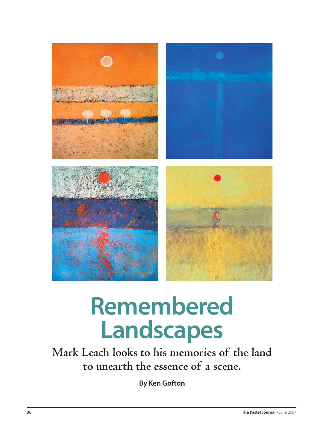

# **Remembered Landscapes**

**Mark Leach looks to his memories of the land to unearth the essence of a scene.**

**By Ken Gofton**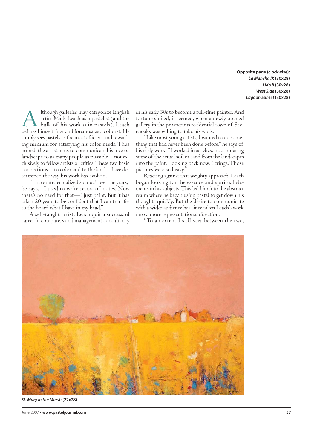**Opposite page (clockwise): La Mancha IX (30x28) Lido II (30x28) West Side (30x28) Lagoon Sunset (30x28)**

Although galleries may categorize English<br>artist Mark Leach as a pastelist (and the<br>bulk of his work *is* in pastels), Leach<br>defines himself first and foremost as a colorist. He artist Mark Leach as a pastelist (and the defines himself first and foremost as a colorist. He simply sees pastels as the most efficient and rewarding medium for satisfying his color needs. Thus armed, the artist aims to communicate his love of landscape to as many people as possible—not exclusively to fellow artists or critics. These two basic connections—to color and to the land—have determined the way his work has evolved.

"I have intellectualized so much over the years," he says. "I used to write reams of notes. Now there's no need for that—I just paint. But it has taken 20 years to be confident that I can transfer to the board what I have in my head."

A self-taught artist, Leach quit a successful career in computers and management consultancy in his early 30s to become a full-time painter. And fortune smiled, it seemed, when a newly opened gallery in the prosperous residential town of Sevenoaks was willing to take his work.

"Like most young artists, I wanted to do something that had never been done before," he says of his early work. "I worked in acrylics, incorporating some of the actual soil or sand from the landscapes into the paint. Looking back now, I cringe. Those pictures were so heavy."

Reacting against that weighty approach, Leach began looking for the essence and spiritual elements in his subjects. This led him into the abstract realm where he began using pastel to get down his thoughts quickly. But the desire to communicate with a wider audience has since taken Leach's work into a more representational direction.

"To an extent I still veer between the two,



**St. Mary in the Marsh (22x28)**

June 2007 **• www.pasteljournal.com 37**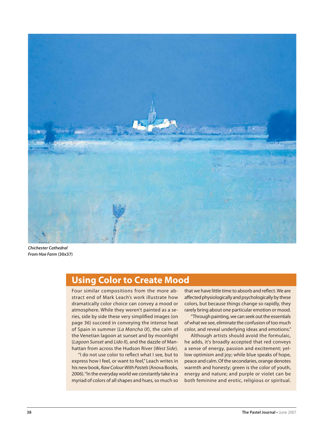

**Chichester Cathedral From Hoe Farm (30x37)**

### **Using Color to Create Mood**

Four similar compositions from the more abstract end of Mark Leach's work illustrate how dramatically color choice can convey a mood or atmosphere. While they weren't painted as a series, side by side these very simplified images (on page 36) succeed in conveying the intense heat of Spain in summer (La Mancha IX), the calm of the Venetian lagoon at sunset and by moonlight (Lagoon Sunset and Lido II), and the dazzle of Manhattan from across the Hudson River (West Side).

"I do not use color to reflect what I see, but to express how I feel, or want to feel," Leach writes in his new book, Raw Colour With Pastels (Anova Books, 2006). "In the everyday world we constantly take in a myriad of colors of all shapes and hues, so much so

that we have little time to absorb and reflect. We are affected physiologically and psychologically by these colors, but because things change so rapidly, they rarely bring about one particular emotion or mood.

"Through painting, we can seek out the essentials of what we see, eliminate the confusion of too much color, and reveal underlying ideas and emotions."

Although artists should avoid the formulaic, he adds, it's broadly accepted that red conveys a sense of energy, passion and excitement; yellow optimism and joy; while blue speaks of hope, peace and calm. Of the secondaries, orange denotes warmth and honesty; green is the color of youth, energy and nature; and purple or violet can be both feminine and erotic, religious or spiritual.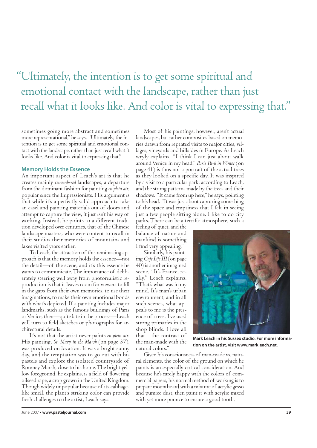## "Ultimately, the intention is to get some spiritual and emotional contact with the landscape, rather than just recall what it looks like. And color is vital to expressing that."

sometimes going more abstract and sometimes more representational," he says. "Ultimately, the intention is to get some spiritual and emotional contact with the landscape, rather than just recall what it looks like. And color is vital to expressing that."

#### **Memory Holds the Essence**

An important aspect of Leach's art is that he creates mainly *remembered* landscapes, a departure from the dominant fashion for painting *en plein air*, popular since the Impressionists. His argument is that while it's a perfectly valid approach to take an easel and painting materials out of doors and attempt to capture the view, it just isn't his way of working. Instead, he points to a different tradition developed over centuries, that of the Chinese landscape masters, who were content to recall in their studios their memories of mountains and lakes visited years earlier.

To Leach, the attraction of this reminiscing approach is that the memory holds the essence—not the detail—of the scene, and it's this essence he wants to communicate. The importance of deliberately steering well away from photorealistic reproduction is that it leaves room for viewers to fill in the gaps from their own memories, to use their imaginations, to make their own emotional bonds with what's depicted. If a painting includes major landmarks, such as the famous buildings of Paris or Venice, then—quite late in the process—Leach will turn to field sketches or photographs for architectural details.

It's not that the artist never paints *en plein air*. His painting, *St. Mary in the Marsh* (on page 37), was produced on location. It was a bright sunny day, and the temptation was to go out with his pastels and explore the isolated countryside of Romney Marsh, close to his home. The bright yellow foreground, he explains, is a field of flowering oilseed rape, a crop grown in the United Kingdom. Though widely unpopular because of its cabbagelike smell, the plant's striking color can provide fresh challenges to the artist, Leach says.

Most of his paintings, however, aren't actual landscapes, but rather composites based on memories drawn from repeated visits to major cities, villages, vineyards and hillsides in Europe. As Leach wryly explains, "I think I can just about walk around Venice in my head." *Paris Park in Winter* (on page 41) is thus not a portrait of the actual trees as they looked on a specific day. It was inspired by a visit to a particular park, according to Leach, and the strong patterns made by the trees and their shadows. "It came from up here," he says, pointing to his head. "It was just about capturing something of the space and emptiness that I felt in seeing just a few people sitting alone. I like to do city parks. There can be a terrific atmosphere, such a

feeling of quiet, and the balance of nature and mankind is something I find very appealing."

Similarly, his painting *Cafe Life III* (on page 40) is another imagined scene. "It's France, really," Leach explains. "That's what was in my mind. It's man's urban environment, and in all such scenes, what appeals to me is the presence of trees. I've used strong primaries in the shop blinds. I love all that—the contrast of the man-made with the natural colors."



**Mark Leach in his Sussex studio. For more information on the artist, visit www.markleach.net.**

Given his consciousness of man-made vs. natural elements, the color of the ground on which he paints is an especially critical consideration. And because he's rarely happy with the colors of commercial papers, his normal method of working is to prepare mountboard with a mixture of acrylic gesso and pumice dust, then paint it with acrylic mixed with yet more pumice to ensure a good tooth.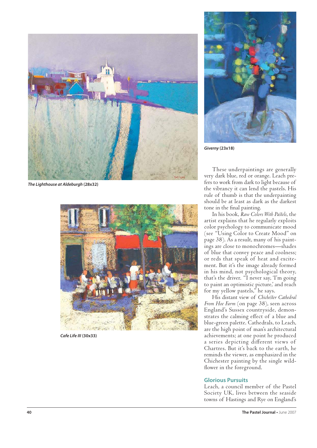

**The Lighthouse at Aldeburgh (28x32)**



**Cafe Life III (30x33)**



**Giverny (23x18)**

These underpaintings are generally very dark blue, red or orange. Leach prefers to work from dark to light because of the vibrancy it can lend the pastels. His rule of thumb is that the underpainting should be at least as dark as the darkest tone in the final painting.

In his book, *Raw Colors With Pa s els*, the artist explains that he regularly exploits color psychology to communicate mood (see "Using Color to Create Mood" on page 38). As a result, many of his paintings are close to monochromes—shades of blue that convey peace and coolness; or reds that speak of heat and excitement. But it's the image already formed in his mind, not psychological theory, that's the driver. "I never say, 'I'm going to paint an optimistic picture,' and reach for my yellow pastels," he says.

His distant view of *Chichester Cathedral From Hoe Farm* (on page 38), seen across England's Sussex countryside, demonstrates the calming effect of a blue and blue-green palette. Cathedrals, to Leach, are the high point of man's architectural achievements; at one point he produced a series depicting different views of Chartres. But it's back to the earth, he reminds the viewer, as emphasized in the Chichester painting by the single wild flower in the foreground.

#### **Glorious Pursuits**

Leach, a council member of the Pastel Society UK, lives between the seaside towns of Hastings and Rye on England's